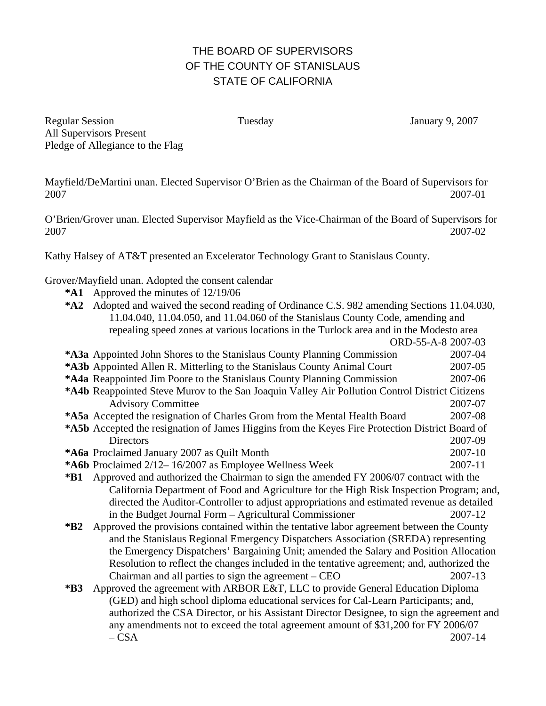## THE BOARD OF SUPERVISORS OF THE COUNTY OF STANISLAUS STATE OF CALIFORNIA

Regular Session Tuesday January 9, 2007 All Supervisors Present Pledge of Allegiance to the Flag

Mayfield/DeMartini unan. Elected Supervisor O'Brien as the Chairman of the Board of Supervisors for 2007 2007-01

O'Brien/Grover unan. Elected Supervisor Mayfield as the Vice-Chairman of the Board of Supervisors for 2007 2007-02

Kathy Halsey of AT&T presented an Excelerator Technology Grant to Stanislaus County.

Grover/Mayfield unan. Adopted the consent calendar

- **\*A1** Approved the minutes of 12/19/06
- **\*A2** Adopted and waived the second reading of Ordinance C.S. 982 amending Sections 11.04.030, 11.04.040, 11.04.050, and 11.04.060 of the Stanislaus County Code, amending and repealing speed zones at various locations in the Turlock area and in the Modesto area ORD-55-A-8 2007-03

| *A3a Appointed John Shores to the Stanislaus County Planning Commission                         | 2007-04                                                                  |
|-------------------------------------------------------------------------------------------------|--------------------------------------------------------------------------|
|                                                                                                 |                                                                          |
|                                                                                                 | 2007-05                                                                  |
| *A4a Reappointed Jim Poore to the Stanislaus County Planning Commission                         | 2007-06                                                                  |
| *A4b Reappointed Steve Murov to the San Joaquin Valley Air Pollution Control District Citizens  |                                                                          |
| <b>Advisory Committee</b>                                                                       | 2007-07                                                                  |
| *A5a Accepted the resignation of Charles Grom from the Mental Health Board                      | 2007-08                                                                  |
| *A5b Accepted the resignation of James Higgins from the Keyes Fire Protection District Board of |                                                                          |
| Directors                                                                                       | 2007-09                                                                  |
| *A6a Proclaimed January 2007 as Quilt Month                                                     | 2007-10                                                                  |
| *A6b Proclaimed 2/12-16/2007 as Employee Wellness Week                                          | 2007-11                                                                  |
| Approved and authorized the Chairman to sign the amended FY 2006/07 contract with the           |                                                                          |
| California Department of Food and Agriculture for the High Risk Inspection Program; and,        |                                                                          |
| directed the Auditor-Controller to adjust appropriations and estimated revenue as detailed      |                                                                          |
| in the Budget Journal Form – Agricultural Commissioner                                          | 2007-12                                                                  |
| Approved the provisions contained within the tentative labor agreement between the County       |                                                                          |
| and the Stanislaus Regional Emergency Dispatchers Association (SREDA) representing              |                                                                          |
| the Emergency Dispatchers' Bargaining Unit; amended the Salary and Position Allocation          |                                                                          |
| Resolution to reflect the changes included in the tentative agreement; and, authorized the      |                                                                          |
| Chairman and all parties to sign the agreement $-$ CEO                                          | 2007-13                                                                  |
| Approved the agreement with ARBOR E&T, LLC to provide General Education Diploma                 |                                                                          |
| (GED) and high school diploma educational services for Cal-Learn Participants; and,             |                                                                          |
| authorized the CSA Director, or his Assistant Director Designee, to sign the agreement and      |                                                                          |
| any amendments not to exceed the total agreement amount of \$31,200 for FY 2006/07              |                                                                          |
| $-$ CSA                                                                                         | 2007-14                                                                  |
|                                                                                                 | *A3b Appointed Allen R. Mitterling to the Stanislaus County Animal Court |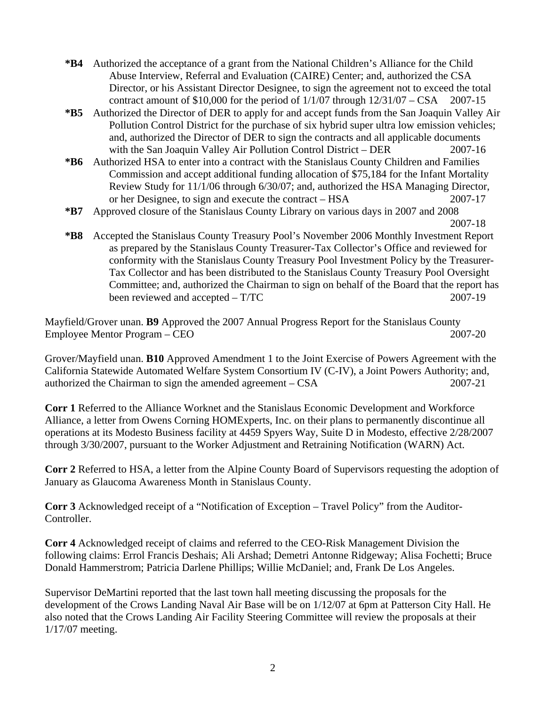- **\*B4** Authorized the acceptance of a grant from the National Children's Alliance for the Child Abuse Interview, Referral and Evaluation (CAIRE) Center; and, authorized the CSA Director, or his Assistant Director Designee, to sign the agreement not to exceed the total contract amount of  $$10,000$  for the period of  $1/1/07$  through  $12/31/07 - CSA$  2007-15
- **\*B5** Authorized the Director of DER to apply for and accept funds from the San Joaquin Valley Air Pollution Control District for the purchase of six hybrid super ultra low emission vehicles; and, authorized the Director of DER to sign the contracts and all applicable documents with the San Joaquin Valley Air Pollution Control District – DER 2007-16
- **\*B6** Authorized HSA to enter into a contract with the Stanislaus County Children and Families Commission and accept additional funding allocation of \$75,184 for the Infant Mortality Review Study for 11/1/06 through 6/30/07; and, authorized the HSA Managing Director, or her Designee, to sign and execute the contract – HSA 2007-17
- **\*B7** Approved closure of the Stanislaus County Library on various days in 2007 and 2008

**\*B8** Accepted the Stanislaus County Treasury Pool's November 2006 Monthly Investment Report as prepared by the Stanislaus County Treasurer-Tax Collector's Office and reviewed for conformity with the Stanislaus County Treasury Pool Investment Policy by the Treasurer-Tax Collector and has been distributed to the Stanislaus County Treasury Pool Oversight Committee; and, authorized the Chairman to sign on behalf of the Board that the report has been reviewed and accepted – T/TC 2007-19

Mayfield/Grover unan. **B9** Approved the 2007 Annual Progress Report for the Stanislaus County Employee Mentor Program – CEO 2007-20

Grover/Mayfield unan. **B10** Approved Amendment 1 to the Joint Exercise of Powers Agreement with the California Statewide Automated Welfare System Consortium IV (C-IV), a Joint Powers Authority; and, authorized the Chairman to sign the amended agreement – CSA 2007-21

**Corr 1** Referred to the Alliance Worknet and the Stanislaus Economic Development and Workforce Alliance, a letter from Owens Corning HOMExperts, Inc. on their plans to permanently discontinue all operations at its Modesto Business facility at 4459 Spyers Way, Suite D in Modesto, effective 2/28/2007 through 3/30/2007, pursuant to the Worker Adjustment and Retraining Notification (WARN) Act.

**Corr 2** Referred to HSA, a letter from the Alpine County Board of Supervisors requesting the adoption of January as Glaucoma Awareness Month in Stanislaus County.

**Corr 3** Acknowledged receipt of a "Notification of Exception – Travel Policy" from the Auditor-Controller.

**Corr 4** Acknowledged receipt of claims and referred to the CEO-Risk Management Division the following claims: Errol Francis Deshais; Ali Arshad; Demetri Antonne Ridgeway; Alisa Fochetti; Bruce Donald Hammerstrom; Patricia Darlene Phillips; Willie McDaniel; and, Frank De Los Angeles.

Supervisor DeMartini reported that the last town hall meeting discussing the proposals for the development of the Crows Landing Naval Air Base will be on 1/12/07 at 6pm at Patterson City Hall. He also noted that the Crows Landing Air Facility Steering Committee will review the proposals at their 1/17/07 meeting.

2007-18